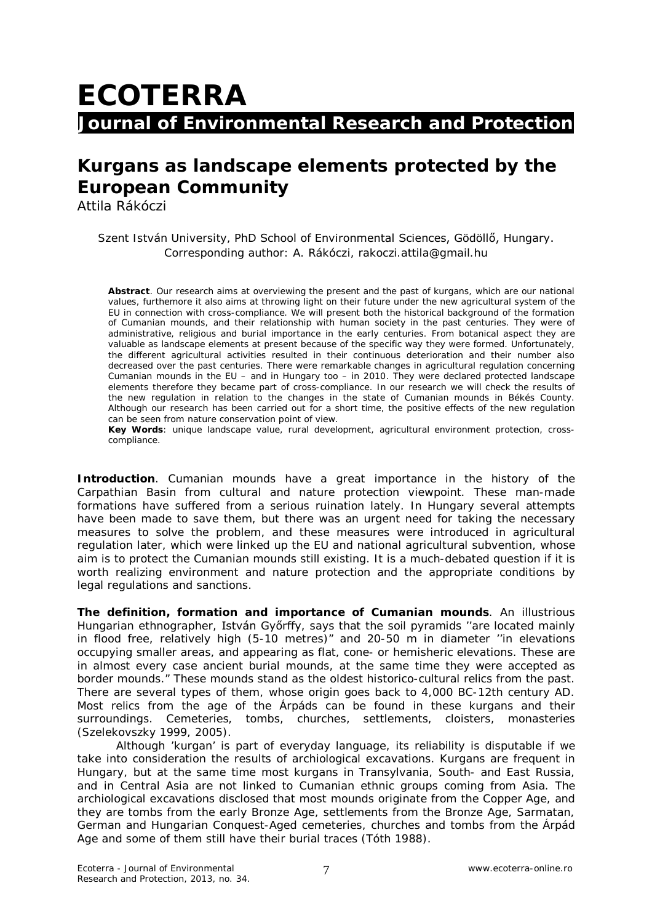## **ECOTERRA Journal of Environmental Research and Protection**

## **Kurgans as landscape elements protected by the European Community**

Attila Rákóczi

Szent István University, PhD School of Environmental Sciences, Gödöllő, Hungary. Corresponding author: A. Rákóczi, rakoczi.attila@gmail.hu

**Abstract**. Our research aims at overviewing the present and the past of kurgans, which are our national values, furthemore it also aims at throwing light on their future under the new agricultural system of the EU in connection with cross-compliance. We will present both the historical background of the formation of Cumanian mounds, and their relationship with human society in the past centuries. They were of administrative, religious and burial importance in the early centuries. From botanical aspect they are valuable as landscape elements at present because of the specific way they were formed. Unfortunately, the different agricultural activities resulted in their continuous deterioration and their number also decreased over the past centuries. There were remarkable changes in agricultural regulation concerning Cumanian mounds in the EU – and in Hungary too – in 2010. They were declared protected landscape elements therefore they became part of cross-compliance. In our research we will check the results of the new regulation in relation to the changes in the state of Cumanian mounds in Békés County. Although our research has been carried out for a short time, the positive effects of the new regulation can be seen from nature conservation point of view.

**Key Words**: unique landscape value, rural development, agricultural environment protection, crosscompliance.

**Introduction**. Cumanian mounds have a great importance in the history of the Carpathian Basin from cultural and nature protection viewpoint. These man-made formations have suffered from a serious ruination lately. In Hungary several attempts have been made to save them, but there was an urgent need for taking the necessary measures to solve the problem, and these measures were introduced in agricultural regulation later, which were linked up the EU and national agricultural subvention, whose aim is to protect the Cumanian mounds still existing. It is a much-debated question if it is worth realizing environment and nature protection and the appropriate conditions by legal regulations and sanctions.

**The definition, formation and importance of Cumanian mounds**. An illustrious Hungarian ethnographer, István Győrffy, says that the soil pyramids ''are located mainly in flood free, relatively high (5-10 metres)" and 20-50 m in diameter ''in elevations occupying smaller areas, and appearing as flat, cone- or hemisheric elevations. These are in almost every case ancient burial mounds, at the same time they were accepted as border mounds." These mounds stand as the oldest historico-cultural relics from the past. There are several types of them, whose origin goes back to 4,000 BC-12th century AD. Most relics from the age of the Árpáds can be found in these kurgans and their surroundings. Cemeteries, tombs, churches, settlements, cloisters, monasteries (Szelekovszky 1999, 2005).

Although 'kurgan' is part of everyday language, its reliability is disputable if we take into consideration the results of archiological excavations. Kurgans are frequent in Hungary, but at the same time most kurgans in Transylvania, South- and East Russia, and in Central Asia are not linked to Cumanian ethnic groups coming from Asia. The archiological excavations disclosed that most mounds originate from the Copper Age, and they are tombs from the early Bronze Age, settlements from the Bronze Age, Sarmatan, German and Hungarian Conquest-Aged cemeteries, churches and tombs from the Árpád Age and some of them still have their burial traces (Tóth 1988).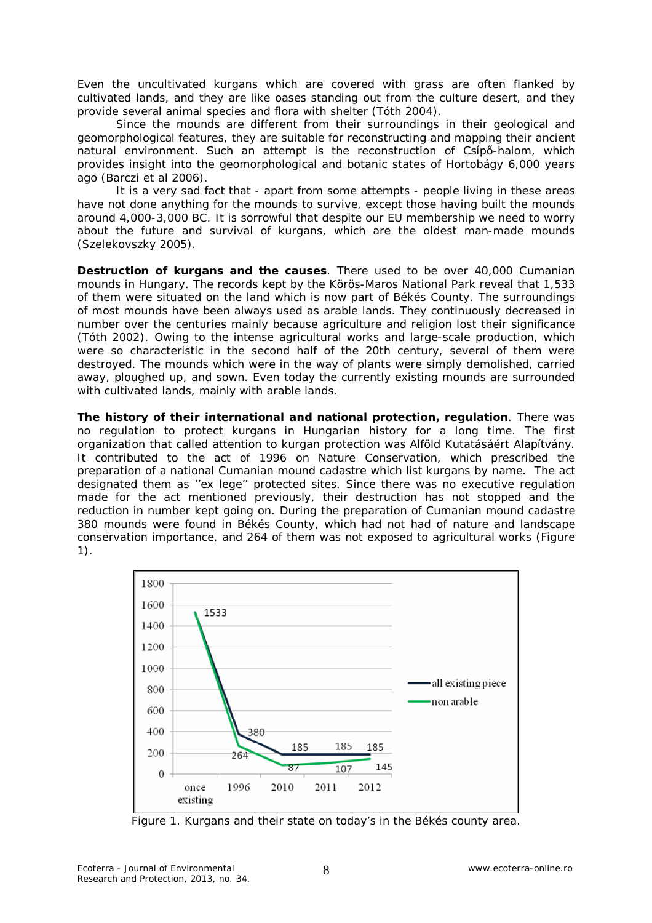Even the uncultivated kurgans which are covered with grass are often flanked by cultivated lands, and they are like oases standing out from the culture desert, and they provide several animal species and flora with shelter (Tóth 2004).

Since the mounds are different from their surroundings in their geological and geomorphological features, they are suitable for reconstructing and mapping their ancient natural environment. Such an attempt is the reconstruction of Csípő-halom, which provides insight into the geomorphological and botanic states of Hortobágy 6,000 years ago (Barczi et al 2006).

It is a very sad fact that - apart from some attempts - people living in these areas have not done anything for the mounds to survive, except those having built the mounds around 4,000-3,000 BC. It is sorrowful that despite our EU membership we need to worry about the future and survival of kurgans, which are the oldest man-made mounds (Szelekovszky 2005).

**Destruction of kurgans and the causes**. There used to be over 40,000 Cumanian mounds in Hungary. The records kept by the Körös-Maros National Park reveal that 1,533 of them were situated on the land which is now part of Békés County. The surroundings of most mounds have been always used as arable lands. They continuously decreased in number over the centuries mainly because agriculture and religion lost their significance (Tóth 2002). Owing to the intense agricultural works and large-scale production, which were so characteristic in the second half of the 20th century, several of them were destroyed. The mounds which were in the way of plants were simply demolished, carried away, ploughed up, and sown. Even today the currently existing mounds are surrounded with cultivated lands, mainly with arable lands.

**The history of their international and national protection, regulation**. There was no regulation to protect kurgans in Hungarian history for a long time. The first organization that called attention to kurgan protection was *Alföld Kutatásáért Alapítvány*. It contributed to the act of 1996 on Nature Conservation, which prescribed the preparation of a national Cumanian mound cadastre which list kurgans by name. The act designated them as ''ex lege'' protected sites. Since there was no executive regulation made for the act mentioned previously, their destruction has not stopped and the reduction in number kept going on. During the preparation of Cumanian mound cadastre 380 mounds were found in Békés County, which had not had of nature and landscape conservation importance, and 264 of them was not exposed to agricultural works (Figure 1).



Figure 1. Kurgans and their state on today's in the Békés county area.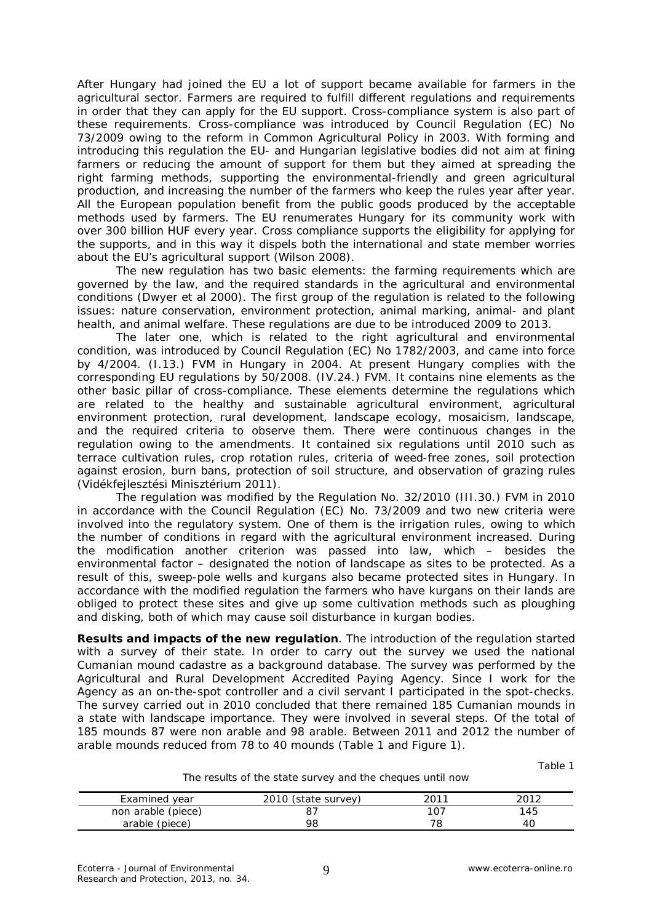After Hungary had joined the EU a lot of support became available for farmers in the agricultural sector. Farmers are required to fulfill different regulations and requirements in order that they can apply for the EU support. Cross-compliance system is also part of these requirements. Cross-compliance was introduced by Council Regulation (EC) No 73/2009 owing to the reform in Common Agricultural Policy in 2003. With forming and introducing this regulation the EU- and Hungarian legislative bodies did not aim at fining farmers or reducing the amount of support for them but they aimed at spreading the right farming methods, supporting the environmental-friendly and green agricultural production, and increasing the number of the farmers who keep the rules year after year. All the European population benefit from the public goods produced by the acceptable methods used by farmers. The EU renumerates Hungary for its community work with over 300 billion HUF every year. Cross compliance supports the eligibility for applying for the supports, and in this way it dispels both the international and state member worries about the EU's agricultural support (Wilson 2008).

The new regulation has two basic elements: the farming requirements which are governed by the law, and the required standards in the agricultural and environmental conditions (Dwyer et al 2000). The first group of the regulation is related to the following issues: nature conservation, environment protection, animal marking, animal- and plant health, and animal welfare. These regulations are due to be introduced 2009 to 2013.

The later one, which is related to the right agricultural and environmental condition, was introduced by Council Regulation (EC) No 1782/2003, and came into force by 4/2004. (I.13.) FVM in Hungary in 2004. At present Hungary complies with the corresponding EU regulations by 50/2008. (IV.24.) FVM. It contains nine elements as the other basic pillar of cross-compliance. These elements determine the regulations which are related to the healthy and sustainable agricultural environment, agricultural environment protection, rural development, landscape ecology, mosaicism, landscape, and the required criteria to observe them. There were continuous changes in the regulation owing to the amendments. It contained six regulations until 2010 such as terrace cultivation rules, crop rotation rules, criteria of weed-free zones, soil protection against erosion, burn bans, protection of soil structure, and observation of grazing rules (Vidékfejlesztési Minisztérium 2011).

The regulation was modified by the Regulation No. 32/2010 (III.30.) FVM in 2010 in accordance with the Council Regulation (EC) No. 73/2009 and two new criteria were involved into the regulatory system. One of them is the irrigation rules, owing to which the number of conditions in regard with the agricultural environment increased. During the modification another criterion was passed into law, which – besides the environmental factor – designated the notion of landscape as sites to be protected. As a result of this, sweep-pole wells and kurgans also became protected sites in Hungary. In accordance with the modified regulation the farmers who have kurgans on their lands are obliged to protect these sites and give up some cultivation methods such as ploughing and disking, both of which may cause soil disturbance in kurgan bodies.

**Results and impacts of the new regulation**. The introduction of the regulation started with a survey of their state. In order to carry out the survey we used the national Cumanian mound cadastre as a background database. The survey was performed by the Agricultural and Rural Development Accredited Paying Agency. Since I work for the Agency as an on-the-spot controller and a civil servant I participated in the spot-checks. The survey carried out in 2010 concluded that there remained 185 Cumanian mounds in a state with landscape importance. They were involved in several steps. Of the total of 185 mounds 87 were non arable and 98 arable. Between 2011 and 2012 the number of arable mounds reduced from 78 to 40 mounds (Table 1 and Figure 1).

Table 1

The results of the state survey and the cheques until now

| Examined<br>vear   | (state survey) | 2013 | วกาว |
|--------------------|----------------|------|------|
| non arable (piece) |                |      | 45   |
| arable (piece)     | 98             |      |      |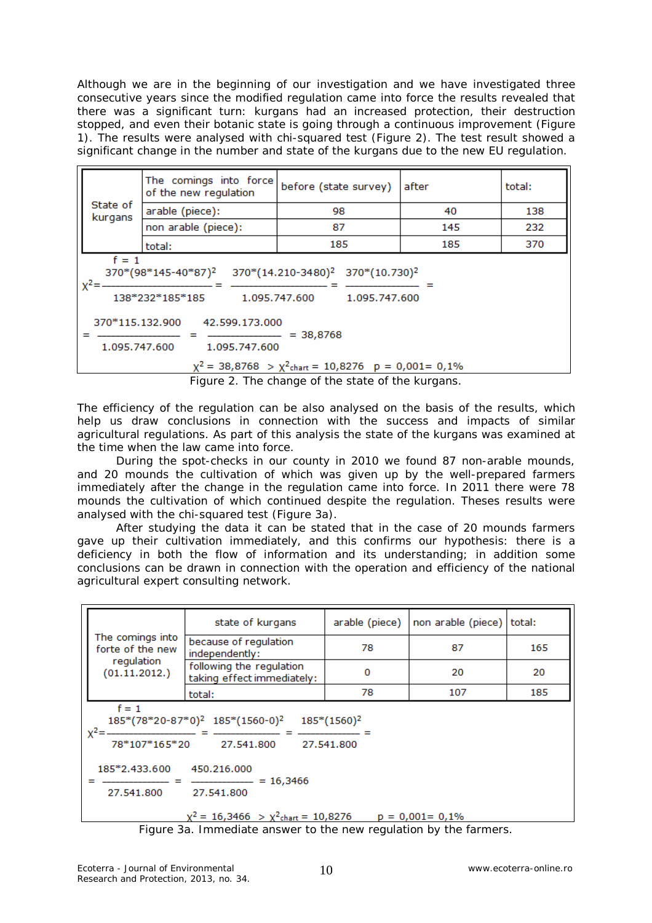Although we are in the beginning of our investigation and we have investigated three consecutive years since the modified regulation came into force the results revealed that there was a significant turn: kurgans had an increased protection, their destruction stopped, and even their botanic state is going through a continuous improvement (Figure 1). The results were analysed with chi-squared test (Figure 2). The test result showed a significant change in the number and state of the kurgans due to the new EU regulation.

|                                                                                                                                                                                                                                                                                                                               | The comings into force<br>of the new regulation | before (state survey) | after | total: |  |
|-------------------------------------------------------------------------------------------------------------------------------------------------------------------------------------------------------------------------------------------------------------------------------------------------------------------------------|-------------------------------------------------|-----------------------|-------|--------|--|
| State of<br>kurgans                                                                                                                                                                                                                                                                                                           | arable (piece):                                 | 98                    | 40    | 138    |  |
|                                                                                                                                                                                                                                                                                                                               | non arable (piece):                             | 87                    | 145   | 232    |  |
|                                                                                                                                                                                                                                                                                                                               | total:                                          | 185                   | 185   | 370    |  |
| $f = 1$<br>370*(14.210-3480) <sup>2</sup> 370*(10.730) <sup>2</sup><br>370*(98*145-40*87) <sup>2</sup><br>$x^2 =$<br>138*232*185*185<br>1.095.747.600<br>1.095.747.600<br>370*115.132.900<br>42.599.173.000<br>$= 38,8768$<br>1.095.747.600<br>1.095.747.600<br>$\chi^2$ = 38,8768 > $\chi^2$ chart = 10,8276 p = 0,001= 0,1% |                                                 |                       |       |        |  |

Figure 2. The change of the state of the kurgans.

The efficiency of the regulation can be also analysed on the basis of the results, which help us draw conclusions in connection with the success and impacts of similar agricultural regulations. As part of this analysis the state of the kurgans was examined at the time when the law came into force.

During the spot-checks in our county in 2010 we found 87 non-arable mounds, and 20 mounds the cultivation of which was given up by the well-prepared farmers immediately after the change in the regulation came into force. In 2011 there were 78 mounds the cultivation of which continued despite the regulation. Theses results were analysed with the chi-squared test (Figure 3a).

After studying the data it can be stated that in the case of 20 mounds farmers gave up their cultivation immediately, and this confirms our hypothesis: there is a deficiency in both the flow of information and its understanding; in addition some conclusions can be drawn in connection with the operation and efficiency of the national agricultural expert consulting network.

|                                                                                                                                                                                                                                                                                              | state of kurgans                                       | arable (piece) | non arable (piece) total: |     |
|----------------------------------------------------------------------------------------------------------------------------------------------------------------------------------------------------------------------------------------------------------------------------------------------|--------------------------------------------------------|----------------|---------------------------|-----|
| The comings into<br>forte of the new<br>regulation<br>(01.11.2012.)                                                                                                                                                                                                                          | because of regulation<br>independently:                | 78             | 87                        | 165 |
|                                                                                                                                                                                                                                                                                              | following the regulation<br>taking effect immediately: | 0              | 20                        | 20  |
|                                                                                                                                                                                                                                                                                              | total:                                                 | 78             | 107                       | 185 |
| $f = 1$<br>185*(78*20-87*0) <sup>2</sup> 185*(1560-0) <sup>2</sup><br>$185*(1560)^2$<br>$x^2$<br>78*107*165*20<br>27.541.800<br>27.541.800<br>185*2.433.600<br>450.216.000<br>$= 16,3466$<br>27.541.800<br>27.541.800<br>$\chi^2$ = 16,3466 > $\chi^2$ chart = 10,8276<br>$p = 0.001 = 0.1%$ |                                                        |                |                           |     |

Figure 3a. Immediate answer to the new regulation by the farmers.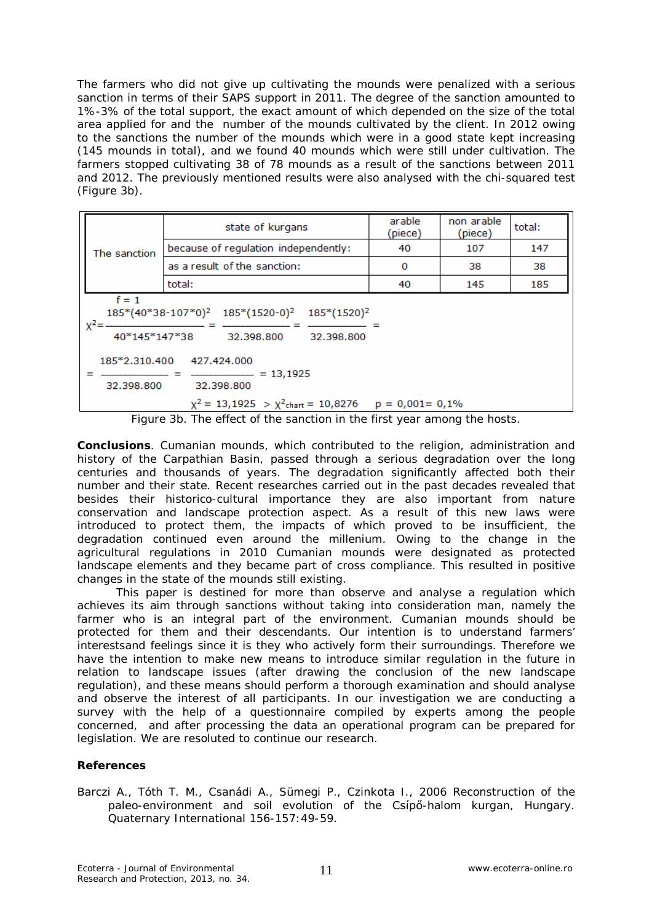The farmers who did not give up cultivating the mounds were penalized with a serious sanction in terms of their SAPS support in 2011. The degree of the sanction amounted to 1%-3% of the total support, the exact amount of which depended on the size of the total area applied for and the number of the mounds cultivated by the client. In 2012 owing to the sanctions the number of the mounds which were in a good state kept increasing (145 mounds in total), and we found 40 mounds which were still under cultivation. The farmers stopped cultivating 38 of 78 mounds as a result of the sanctions between 2011 and 2012. The previously mentioned results were also analysed with the chi-squared test (Figure 3b).

| The sanction                                                                                                                                                                                                                                                                     | state of kurgans                     | arable<br>(piece) | non arable<br>(piece) | total: |
|----------------------------------------------------------------------------------------------------------------------------------------------------------------------------------------------------------------------------------------------------------------------------------|--------------------------------------|-------------------|-----------------------|--------|
|                                                                                                                                                                                                                                                                                  | because of regulation independently: | 40                | 107                   | 147    |
|                                                                                                                                                                                                                                                                                  | as a result of the sanction:         | 0                 | 38                    | 38     |
|                                                                                                                                                                                                                                                                                  | total:                               | 40                | 145                   | 185    |
| $f = 1$<br>$185*(40*38-107*0)^2$ $185*(1520-0)^2$<br>185*(1520) <sup>2</sup><br>$x^2 =$<br>40*145*147*38<br>32.398.800<br>32.398.800<br>185*2.310.400<br>427.424.000<br>$= 13,1925$<br>32,398,800<br>32.398.800<br>$\chi^2$ = 13,1925 > $\chi^2$ chart = 10,8276 p = 0,001= 0,1% |                                      |                   |                       |        |

Figure 3b. The effect of the sanction in the first year among the hosts.

**Conclusions**. Cumanian mounds, which contributed to the religion, administration and history of the Carpathian Basin, passed through a serious degradation over the long centuries and thousands of years. The degradation significantly affected both their number and their state. Recent researches carried out in the past decades revealed that besides their historico-cultural importance they are also important from nature conservation and landscape protection aspect. As a result of this new laws were introduced to protect them, the impacts of which proved to be insufficient, the degradation continued even around the millenium. Owing to the change in the agricultural regulations in 2010 Cumanian mounds were designated as protected landscape elements and they became part of cross compliance. This resulted in positive changes in the state of the mounds still existing.

This paper is destined for more than observe and analyse a regulation which achieves its aim through sanctions without taking into consideration man, namely the farmer who is an integral part of the environment. Cumanian mounds should be protected for them and their descendants. Our intention is to understand farmers' interestsand feelings since it is they who actively form their surroundings. Therefore we have the intention to make new means to introduce similar regulation in the future in relation to landscape issues (after drawing the conclusion of the new landscape regulation), and these means should perform a thorough examination and should analyse and observe the interest of all participants. In our investigation we are conducting a survey with the help of a questionnaire compiled by experts among the people concerned, and after processing the data an operational program can be prepared for legislation. We are resoluted to continue our research.

## **References**

Barczi A., Tóth T. M., Csanádi A., Sümegi P., Czinkota I., 2006 Reconstruction of the paleo-environment and soil evolution of the Csípő-halom kurgan, Hungary. Quaternary International 156-157:49-59.